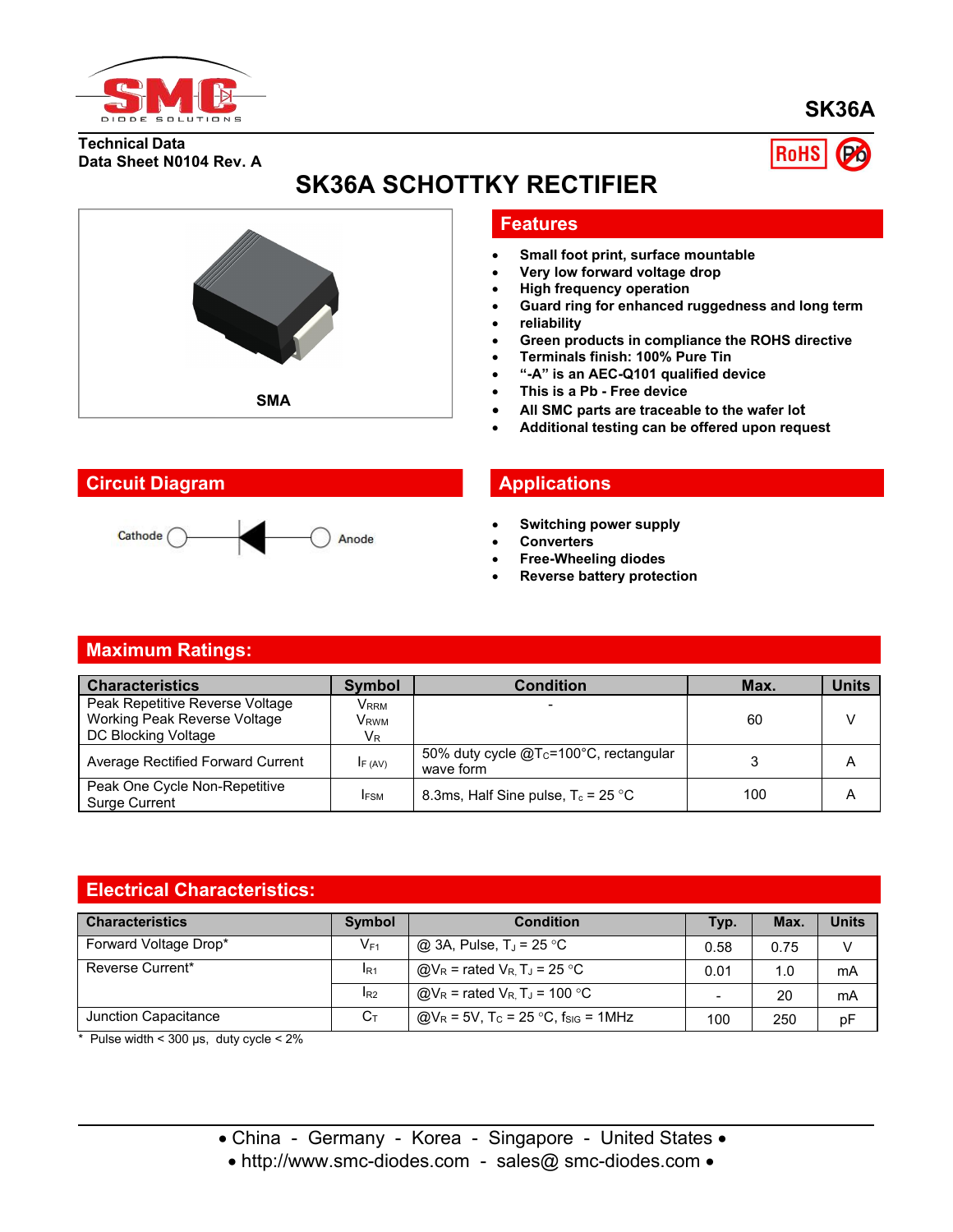

**SK36A**

**RoHS** 

**Technical Data Data Sheet N0104 Rev. A**



# **SK36A SCHOTTKY RECTIFIER**

#### **Features**

- **Small foot print, surface mountable**
- **Very low forward voltage drop**
- **High frequency operation**
- **Guard ring for enhanced ruggedness and long term**
- **reliability**
- **Green products in compliance the ROHS directive**
- **Terminals finish: 100% Pure Tin**
- **"-A" is an AEC-Q101 qualified device**
- **This is a Pb - Free device**
- **All SMC parts are traceable to the wafer lot**
- **Additional testing can be offered upon request**

### **Circuit Diagram Applications**



- **Switching power supply**
- **Converters**
- **Free-Wheeling diodes**
- **Reverse battery protection**

#### **Maximum Ratings:**

| <b>Characteristics</b>                                | <b>Symbol</b> | Condition                                              | Max. | <b>Units</b> |
|-------------------------------------------------------|---------------|--------------------------------------------------------|------|--------------|
| Peak Repetitive Reverse Voltage                       | Vrrm          |                                                        |      |              |
| Working Peak Reverse Voltage                          | Vrwm          |                                                        | 60   |              |
| DC Blocking Voltage                                   | $V_{R}$       |                                                        |      |              |
| Average Rectified Forward Current                     | IF (AV)       | 50% duty cycle $@T_c=100°C$ , rectangular<br>wave form |      | A            |
| Peak One Cycle Non-Repetitive<br><b>Surge Current</b> | <b>IFSM</b>   | 8.3ms, Half Sine pulse, $T_c = 25$ °C                  | 100  | A            |

### **Electrical Characteristics:**

| <b>Characteristics</b> | Symbol          | <b>Condition</b>                                              | Typ. | Max. | <b>Units</b> |
|------------------------|-----------------|---------------------------------------------------------------|------|------|--------------|
| Forward Voltage Drop*  | $V_{F1}$        | $\omega$ 3A, Pulse, TJ = 25 °C                                | 0.58 | 0.75 | V            |
| Reverse Current*       | IR <sub>1</sub> | $@V_R$ = rated $V_R$ , T <sub>J</sub> = 25 °C                 | 0.01 | 1.0  | mA           |
|                        | IR <sub>2</sub> | $@V_R$ = rated $V_R$ , T <sub>J</sub> = 100 °C                |      | 20   | mA           |
| Junction Capacitance   | $C_{\text{T}}$  | $@V_R = 5V$ , T <sub>C</sub> = 25 °C, f <sub>SIG</sub> = 1MHz | 100  | 250  | pF           |

 $*$  Pulse width < 300 us, duty cycle <  $2\%$ 

• http://www.smc-diodes.com - sales@ smc-diodes.com •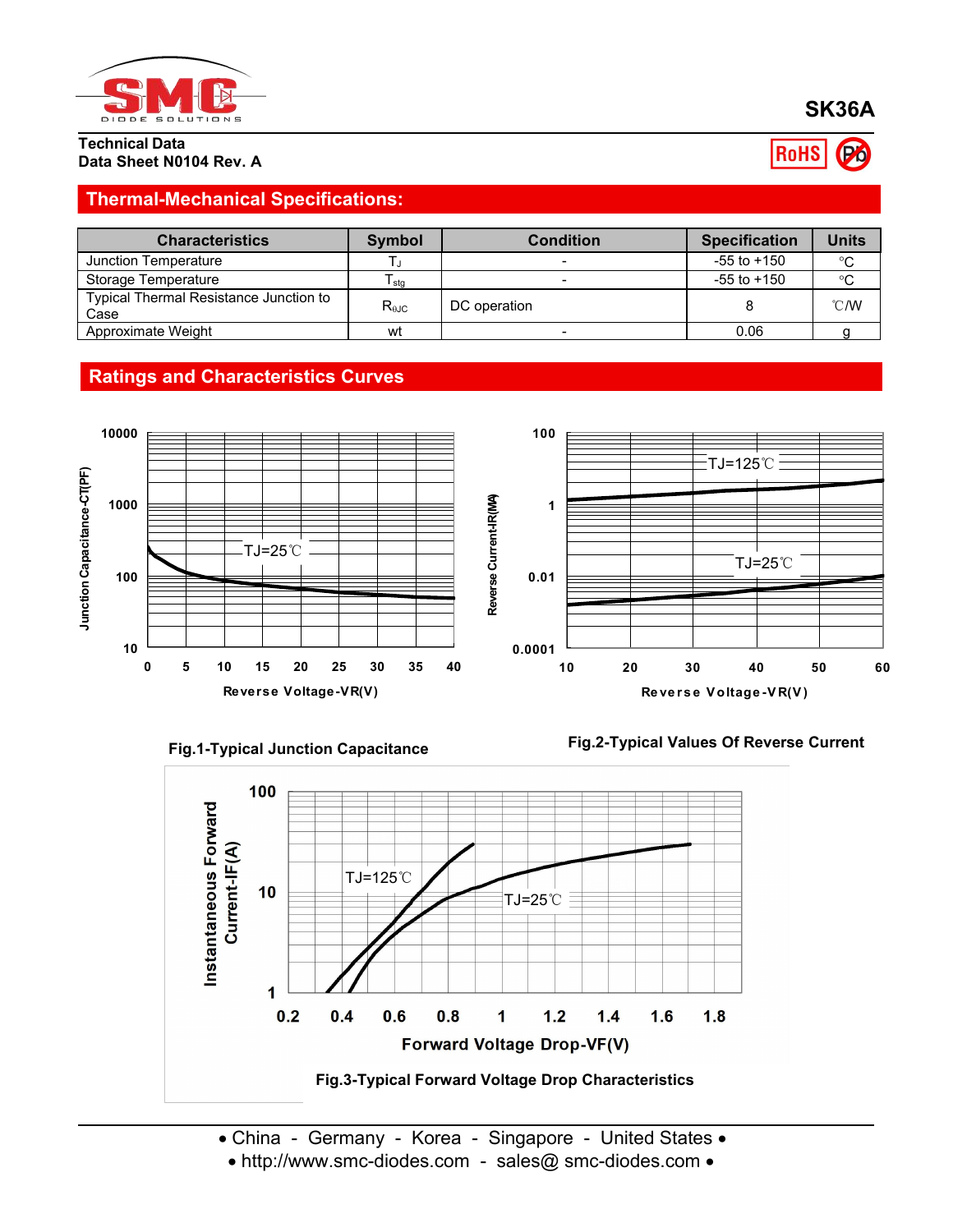

**Technical Data Data Sheet N0104 Rev. A**

## **Thermal-Mechanical Specifications:**

| <b>Characteristics</b>                         | <b>Symbol</b>  | <b>Condition</b> | <b>Specification</b> | Units          |
|------------------------------------------------|----------------|------------------|----------------------|----------------|
| Junction Temperature                           |                |                  | $-55$ to $+150$      | $^{\circ}C$    |
| Storage Temperature                            | l sta          |                  | $-55$ to $+150$      | °C             |
| Typical Thermal Resistance Junction to<br>Case | $R_{\theta$ JC | DC operation     |                      | $^{\circ}$ C/W |
| Approximate Weight                             | wt             |                  | 0.06                 |                |











• China - Germany - Korea - Singapore - United States •

• http://www.smc-diodes.com - sales@ smc-diodes.com •

# **SK36A**

RoHS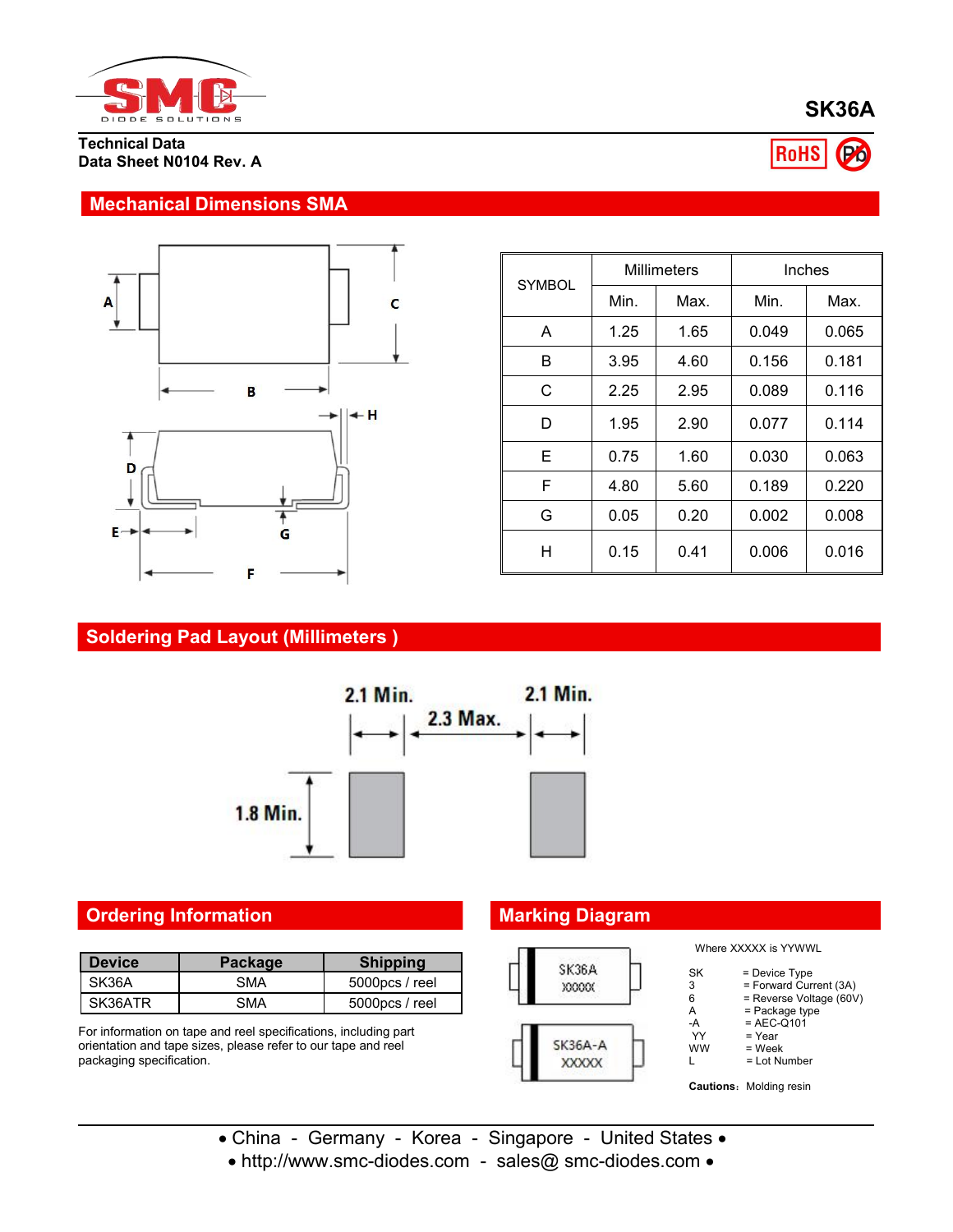

**Technical Data Data Sheet N0104 Rev. A**

#### **Mechanical Dimensions SMA**



| <b>SYMBOL</b> | <b>Millimeters</b> |      | Inches |       |
|---------------|--------------------|------|--------|-------|
|               | Min.               | Max. | Min.   | Max.  |
| A             | 1.25               | 1.65 | 0.049  | 0.065 |
| B             | 3.95               | 4.60 | 0.156  | 0.181 |
| C             | 2.25               | 2.95 | 0.089  | 0.116 |
| D             | 1.95               | 2.90 | 0.077  | 0.114 |
| Е             | 0.75               | 1.60 | 0.030  | 0.063 |
| F             | 4.80               | 5.60 | 0.189  | 0.220 |
| G             | 0.05               | 0.20 | 0.002  | 0.008 |
| Н             | 0.15               | 0.41 | 0.006  | 0.016 |

## **Soldering Pad Layout (Millimeters )**



### **Ordering Information Marking Diagram**

| <b>Device</b> | Package | <b>Shipping</b>   | SK36A        |
|---------------|---------|-------------------|--------------|
| SK36A         | SMA     | 5000pcs / reel    | <b>XXXXX</b> |
| SK36ATR       | SMA     | $5000$ pcs / reel |              |

For information on tape and reel specifications, including part orientation and tape sizes, please refer to our tape and reel packaging specification.



- China Germany Korea Singapore United States •
- http://www.smc-diodes.com sales@ smc-diodes.com